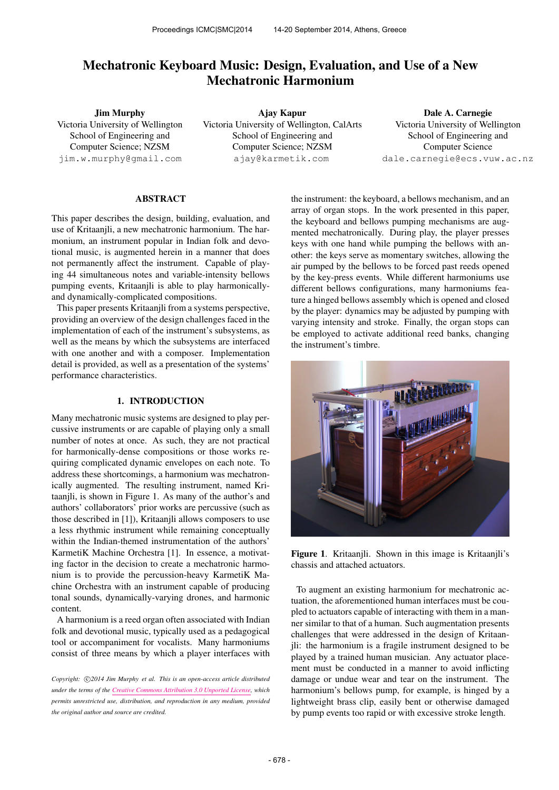# Mechatronic Keyboard Music: Design, Evaluation, and Use of a New Mechatronic Harmonium

Jim Murphy Victoria University of Wellington School of Engineering and Computer Science; NZSM [jim.w.murphy@gmail.com](mailto:jim.w.murphy@gmail.com)

Ajay Kapur Victoria University of Wellington, CalArts School of Engineering and Computer Science; NZSM [ajay@karmetik.com](mailto:ajay@karmetik.com)

Dale A. Carnegie Victoria University of Wellington School of Engineering and Computer Science [dale.carnegie@ecs.vuw.ac.nz](mailto:dale.carnegie@ecs.vuw.ac.nz)

# ABSTRACT

This paper describes the design, building, evaluation, and use of Kritaanjli, a new mechatronic harmonium. The harmonium, an instrument popular in Indian folk and devotional music, is augmented herein in a manner that does not permanently affect the instrument. Capable of playing 44 simultaneous notes and variable-intensity bellows pumping events, Kritaanjli is able to play harmonicallyand dynamically-complicated compositions.

This paper presents Kritaanjli from a systems perspective, providing an overview of the design challenges faced in the implementation of each of the instrument's subsystems, as well as the means by which the subsystems are interfaced with one another and with a composer. Implementation detail is provided, as well as a presentation of the systems' performance characteristics.

## 1. INTRODUCTION

Many mechatronic music systems are designed to play percussive instruments or are capable of playing only a small number of notes at once. As such, they are not practical for harmonically-dense compositions or those works requiring complicated dynamic envelopes on each note. To address these shortcomings, a harmonium was mechatronically augmented. The resulting instrument, named Kritaanjli, is shown in Figure 1. As many of the author's and authors' collaborators' prior works are percussive (such as those described in [1]), Kritaanjli allows composers to use a less rhythmic instrument while remaining conceptually within the Indian-themed instrumentation of the authors' KarmetiK Machine Orchestra [1]. In essence, a motivating factor in the decision to create a mechatronic harmonium is to provide the percussion-heavy KarmetiK Machine Orchestra with an instrument capable of producing tonal sounds, dynamically-varying drones, and harmonic content.

A harmonium is a reed organ often associated with Indian folk and devotional music, typically used as a pedagogical tool or accompaniment for vocalists. Many harmoniums consist of three means by which a player interfaces with

Copyright:  $\bigcirc$ 2014 Jim Murphy et al. This is an open-access article distributed *under the terms of the [Creative Commons Attribution 3.0 Unported License,](http://creativecommons.org/licenses/by/3.0/) which permits unrestricted use, distribution, and reproduction in any medium, provided the original author and source are credited.*

the instrument: the keyboard, a bellows mechanism, and an array of organ stops. In the work presented in this paper, the keyboard and bellows pumping mechanisms are augmented mechatronically. During play, the player presses keys with one hand while pumping the bellows with another: the keys serve as momentary switches, allowing the air pumped by the bellows to be forced past reeds opened by the key-press events. While different harmoniums use different bellows configurations, many harmoniums feature a hinged bellows assembly which is opened and closed by the player: dynamics may be adjusted by pumping with varying intensity and stroke. Finally, the organ stops can be employed to activate additional reed banks, changing the instrument's timbre.



Figure 1. Kritaanjli. Shown in this image is Kritaanjli's chassis and attached actuators.

To augment an existing harmonium for mechatronic actuation, the aforementioned human interfaces must be coupled to actuators capable of interacting with them in a manner similar to that of a human. Such augmentation presents challenges that were addressed in the design of Kritaanjli: the harmonium is a fragile instrument designed to be played by a trained human musician. Any actuator placement must be conducted in a manner to avoid inflicting damage or undue wear and tear on the instrument. The harmonium's bellows pump, for example, is hinged by a lightweight brass clip, easily bent or otherwise damaged by pump events too rapid or with excessive stroke length.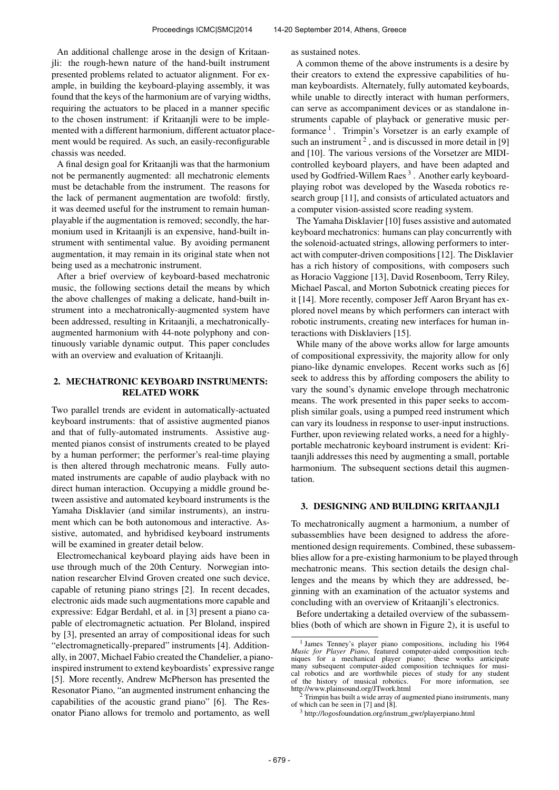An additional challenge arose in the design of Kritaanjli: the rough-hewn nature of the hand-built instrument presented problems related to actuator alignment. For example, in building the keyboard-playing assembly, it was found that the keys of the harmonium are of varying widths, requiring the actuators to be placed in a manner specific to the chosen instrument: if Kritaanjli were to be implemented with a different harmonium, different actuator placement would be required. As such, an easily-reconfigurable chassis was needed.

A final design goal for Kritaanjli was that the harmonium not be permanently augmented: all mechatronic elements must be detachable from the instrument. The reasons for the lack of permanent augmentation are twofold: firstly, it was deemed useful for the instrument to remain humanplayable if the augmentation is removed; secondly, the harmonium used in Kritaanjli is an expensive, hand-built instrument with sentimental value. By avoiding permanent augmentation, it may remain in its original state when not being used as a mechatronic instrument.

After a brief overview of keyboard-based mechatronic music, the following sections detail the means by which the above challenges of making a delicate, hand-built instrument into a mechatronically-augmented system have been addressed, resulting in Kritaanjli, a mechatronicallyaugmented harmonium with 44-note polyphony and continuously variable dynamic output. This paper concludes with an overview and evaluation of Kritaanjli.

## 2. MECHATRONIC KEYBOARD INSTRUMENTS: RELATED WORK

Two parallel trends are evident in automatically-actuated keyboard instruments: that of assistive augmented pianos and that of fully-automated instruments. Assistive augmented pianos consist of instruments created to be played by a human performer; the performer's real-time playing is then altered through mechatronic means. Fully automated instruments are capable of audio playback with no direct human interaction. Occupying a middle ground between assistive and automated keyboard instruments is the Yamaha Disklavier (and similar instruments), an instrument which can be both autonomous and interactive. Assistive, automated, and hybridised keyboard instruments will be examined in greater detail below.

Electromechanical keyboard playing aids have been in use through much of the 20th Century. Norwegian intonation researcher Elvind Groven created one such device, capable of retuning piano strings [2]. In recent decades, electronic aids made such augmentations more capable and expressive: Edgar Berdahl, et al. in [3] present a piano capable of electromagnetic actuation. Per Bloland, inspired by [3], presented an array of compositional ideas for such "electromagnetically-prepared" instruments [4]. Additionally, in 2007, Michael Fabio created the Chandelier, a pianoinspired instrument to extend keyboardists' expressive range [5]. More recently, Andrew McPherson has presented the Resonator Piano, "an augmented instrument enhancing the capabilities of the acoustic grand piano" [6]. The Resonator Piano allows for tremolo and portamento, as well

as sustained notes.

A common theme of the above instruments is a desire by their creators to extend the expressive capabilities of human keyboardists. Alternately, fully automated keyboards, while unable to directly interact with human performers, can serve as accompaniment devices or as standalone instruments capable of playback or generative music performance<sup>1</sup>. Trimpin's Vorsetzer is an early example of such an instrument<sup>2</sup>, and is discussed in more detail in [9] and [10]. The various versions of the Vorsetzer are MIDIcontrolled keyboard players, and have been adapted and used by Godfried-Willem Raes<sup>3</sup>. Another early keyboardplaying robot was developed by the Waseda robotics research group [11], and consists of articulated actuators and a computer vision-assisted score reading system.

The Yamaha Disklavier [10] fuses assistive and automated keyboard mechatronics: humans can play concurrently with the solenoid-actuated strings, allowing performers to interact with computer-driven compositions [12]. The Disklavier has a rich history of compositions, with composers such as Horacio Vaggione [13], David Rosenboom, Terry Riley, Michael Pascal, and Morton Subotnick creating pieces for it [14]. More recently, composer Jeff Aaron Bryant has explored novel means by which performers can interact with robotic instruments, creating new interfaces for human interactions with Disklaviers [15].

While many of the above works allow for large amounts of compositional expressivity, the majority allow for only piano-like dynamic envelopes. Recent works such as [6] seek to address this by affording composers the ability to vary the sound's dynamic envelope through mechatronic means. The work presented in this paper seeks to accomplish similar goals, using a pumped reed instrument which can vary its loudness in response to user-input instructions. Further, upon reviewing related works, a need for a highlyportable mechatronic keyboard instrument is evident: Kritaanjli addresses this need by augmenting a small, portable harmonium. The subsequent sections detail this augmentation.

## 3. DESIGNING AND BUILDING KRITAANJLI

To mechatronically augment a harmonium, a number of subassemblies have been designed to address the aforementioned design requirements. Combined, these subassemblies allow for a pre-existing harmonium to be played through mechatronic means. This section details the design challenges and the means by which they are addressed, beginning with an examination of the actuator systems and concluding with an overview of Kritaanjli's electronics.

Before undertaking a detailed overview of the subassemblies (both of which are shown in Figure 2), it is useful to

<sup>&</sup>lt;sup>1</sup> James Tenney's player piano compositions, including his 1964<br>*Music for Player Piano*, featured computer-aided composition techniques for a mechanical player piano; these works anticipate many subsequent computer-aided composition techniques for musical robotics and are worthwhile pieces of study for any student of the history of musical robotics. For more information, see of the history of musical robotics. http://www.plainsound.org/JTwork.html

 $2$  Trimpin has built a wide array of augmented piano instruments, many of which can be seen in [7] and [8].

<sup>3</sup> http://logosfoundation.org/instrum gwr/playerpiano.html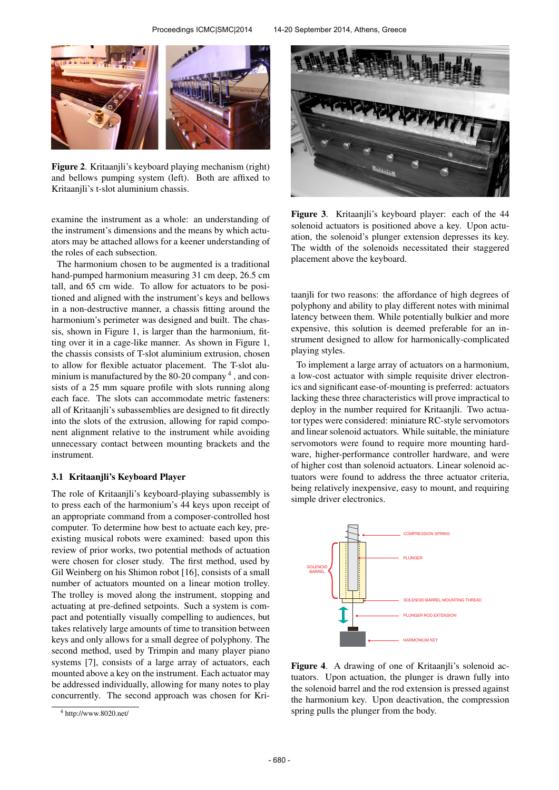

Figure 2. Kritaanjli's keyboard playing mechanism (right) and bellows pumping system (left). Both are affixed to Kritaanjli's t-slot aluminium chassis.

examine the instrument as a whole: an understanding of the instrument's dimensions and the means by which actuators may be attached allows for a keener understanding of the roles of each subsection.

The harmonium chosen to be augmented is a traditional hand-pumped harmonium measuring 31 cm deep, 26.5 cm tall, and 65 cm wide. To allow for actuators to be positioned and aligned with the instrument's keys and bellows in a non-destructive manner, a chassis fitting around the harmonium's perimeter was designed and built. The chassis, shown in Figure 1, is larger than the harmonium, fitting over it in a cage-like manner. As shown in Figure 1, the chassis consists of T-slot aluminium extrusion, chosen to allow for flexible actuator placement. The T-slot aluminium is manufactured by the 80-20 company<sup>4</sup>, and consists of a 25 mm square profile with slots running along each face. The slots can accommodate metric fasteners: all of Kritaanjli's subassemblies are designed to fit directly into the slots of the extrusion, allowing for rapid component alignment relative to the instrument while avoiding unnecessary contact between mounting brackets and the instrument.

## 3.1 Kritaanjli's Keyboard Player

The role of Kritaanjli's keyboard-playing subassembly is to press each of the harmonium's 44 keys upon receipt of an appropriate command from a composer-controlled host computer. To determine how best to actuate each key, preexisting musical robots were examined: based upon this review of prior works, two potential methods of actuation were chosen for closer study. The first method, used by Gil Weinberg on his Shimon robot [16], consists of a small number of actuators mounted on a linear motion trolley. The trolley is moved along the instrument, stopping and actuating at pre-defined setpoints. Such a system is compact and potentially visually compelling to audiences, but takes relatively large amounts of time to transition between keys and only allows for a small degree of polyphony. The second method, used by Trimpin and many player piano systems [7], consists of a large array of actuators, each mounted above a key on the instrument. Each actuator may be addressed individually, allowing for many notes to play concurrently. The second approach was chosen for Kri-



Figure 3. Kritaanjli's keyboard player: each of the 44 solenoid actuators is positioned above a key. Upon actuation, the solenoid's plunger extension depresses its key. The width of the solenoids necessitated their staggered placement above the keyboard.

taanjli for two reasons: the affordance of high degrees of polyphony and ability to play different notes with minimal latency between them. While potentially bulkier and more expensive, this solution is deemed preferable for an instrument designed to allow for harmonically-complicated playing styles.

To implement a large array of actuators on a harmonium, a low-cost actuator with simple requisite driver electronics and significant ease-of-mounting is preferred: actuators lacking these three characteristics will prove impractical to deploy in the number required for Kritaanjli. Two actuator types were considered: miniature RC-style servomotors and linear solenoid actuators. While suitable, the miniature servomotors were found to require more mounting hardware, higher-performance controller hardware, and were of higher cost than solenoid actuators. Linear solenoid actuators were found to address the three actuator criteria, being relatively inexpensive, easy to mount, and requiring simple driver electronics.



Figure 4. A drawing of one of Kritaanjli's solenoid actuators. Upon actuation, the plunger is drawn fully into the solenoid barrel and the rod extension is pressed against the harmonium key. Upon deactivation, the compression spring pulls the plunger from the body.

<sup>4</sup> http://www.8020.net/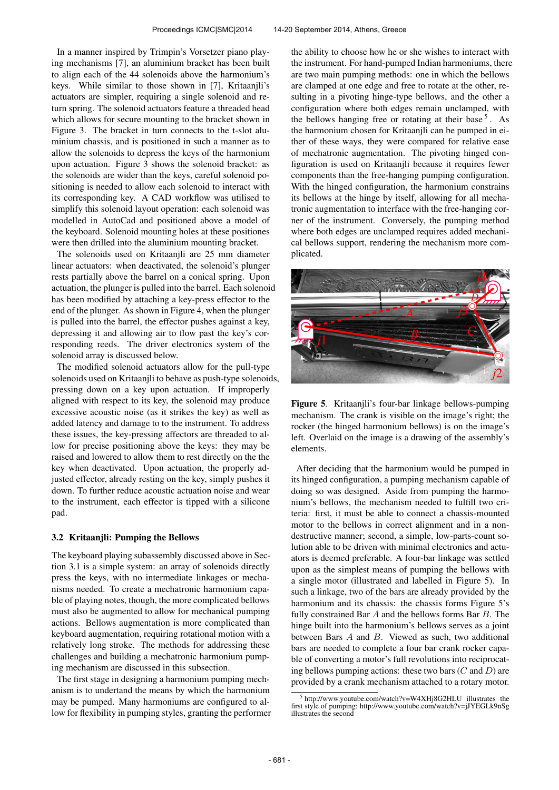In a manner inspired by Trimpin's Vorsetzer piano playing mechanisms [7], an aluminium bracket has been built to align each of the 44 solenoids above the harmonium's keys. While similar to those shown in [7], Kritaanjli's actuators are simpler, requiring a single solenoid and return spring. The solenoid actuators feature a threaded head which allows for secure mounting to the bracket shown in Figure 3. The bracket in turn connects to the t-slot aluminium chassis, and is positioned in such a manner as to allow the solenoids to depress the keys of the harmonium upon actuation. Figure 3 shows the solenoid bracket: as the solenoids are wider than the keys, careful solenoid positioning is needed to allow each solenoid to interact with its corresponding key. A CAD workflow was utilised to simplify this solenoid layout operation: each solenoid was modelled in AutoCad and positioned above a model of the keyboard. Solenoid mounting holes at these positiones were then drilled into the aluminium mounting bracket.

The solenoids used on Kritaanjli are 25 mm diameter linear actuators: when deactivated, the solenoid's plunger rests partially above the barrel on a conical spring. Upon actuation, the plunger is pulled into the barrel. Each solenoid has been modified by attaching a key-press effector to the end of the plunger. As shown in Figure 4, when the plunger is pulled into the barrel, the effector pushes against a key, depressing it and allowing air to flow past the key's corresponding reeds. The driver electronics system of the solenoid array is discussed below.

The modified solenoid actuators allow for the pull-type solenoids used on Kritaanjli to behave as push-type solenoids, pressing down on a key upon actuation. If improperly aligned with respect to its key, the solenoid may produce excessive acoustic noise (as it strikes the key) as well as added latency and damage to to the instrument. To address these issues, the key-pressing affectors are threaded to allow for precise positioning above the keys: they may be raised and lowered to allow them to rest directly on the the key when deactivated. Upon actuation, the properly adjusted effector, already resting on the key, simply pushes it down. To further reduce acoustic actuation noise and wear to the instrument, each effector is tipped with a silicone pad.

# 3.2 Kritaanjli: Pumping the Bellows

The keyboard playing subassembly discussed above in Section 3.1 is a simple system: an array of solenoids directly press the keys, with no intermediate linkages or mechanisms needed. To create a mechatronic harmonium capable of playing notes, though, the more complicated bellows must also be augmented to allow for mechanical pumping actions. Bellows augmentation is more complicated than keyboard augmentation, requiring rotational motion with a relatively long stroke. The methods for addressing these challenges and building a mechatronic harmonium pumping mechanism are discussed in this subsection.

The first stage in designing a harmonium pumping mechanism is to undertand the means by which the harmonium may be pumped. Many harmoniums are configured to allow for flexibility in pumping styles, granting the performer the ability to choose how he or she wishes to interact with the instrument. For hand-pumped Indian harmoniums, there are two main pumping methods: one in which the bellows are clamped at one edge and free to rotate at the other, resulting in a pivoting hinge-type bellows, and the other a configuration where both edges remain unclamped, with the bellows hanging free or rotating at their base<sup>5</sup>. As the harmonium chosen for Kritaanjli can be pumped in either of these ways, they were compared for relative ease of mechatronic augmentation. The pivoting hinged configuration is used on Kritaanjli because it requires fewer components than the free-hanging pumping configuration. With the hinged configuration, the harmonium constrains its bellows at the hinge by itself, allowing for all mechatronic augmentation to interface with the free-hanging corner of the instrument. Conversely, the pumping method where both edges are unclamped requires added mechanical bellows support, rendering the mechanism more complicated.



Figure 5. Kritaanjli's four-bar linkage bellows-pumping mechanism. The crank is visible on the image's right; the rocker (the hinged harmonium bellows) is on the image's left. Overlaid on the image is a drawing of the assembly's elements.

After deciding that the harmonium would be pumped in its hinged configuration, a pumping mechanism capable of doing so was designed. Aside from pumping the harmonium's bellows, the mechanism needed to fulfill two criteria: first, it must be able to connect a chassis-mounted motor to the bellows in correct alignment and in a nondestructive manner; second, a simple, low-parts-count solution able to be driven with minimal electronics and actuators is deemed preferable. A four-bar linkage was settled upon as the simplest means of pumping the bellows with a single motor (illustrated and labelled in Figure 5). In such a linkage, two of the bars are already provided by the harmonium and its chassis: the chassis forms Figure 5's fully constrained Bar A and the bellows forms Bar B. The hinge built into the harmonium's bellows serves as a joint between Bars A and B. Viewed as such, two additional bars are needed to complete a four bar crank rocker capable of converting a motor's full revolutions into reciprocating bellows pumping actions: these two bars  $(C \text{ and } D)$  are provided by a crank mechanism attached to a rotary motor.

<sup>5</sup> http://www.youtube.com/watch?v=W4XHj8G2HLU illustrates the first style of pumping; http://www.youtube.com/watch?v=jJYEGLk9nSg illustrates the second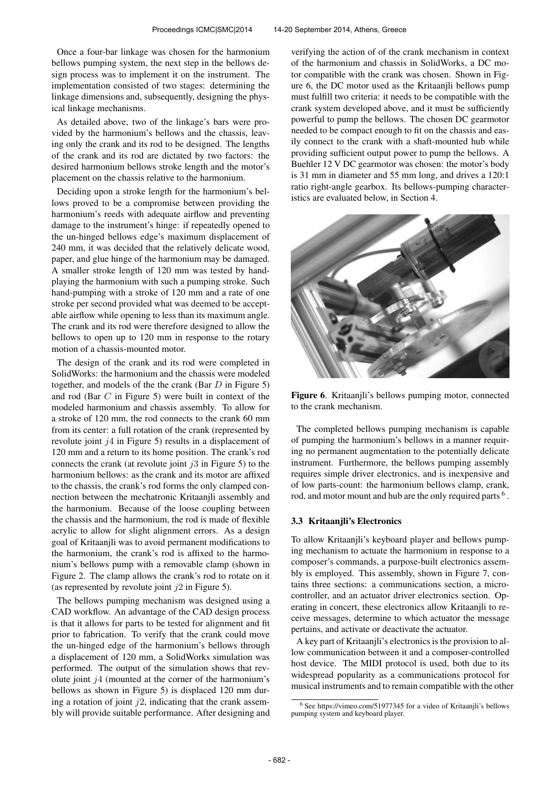Once a four-bar linkage was chosen for the harmonium bellows pumping system, the next step in the bellows design process was to implement it on the instrument. The implementation consisted of two stages: determining the linkage dimensions and, subsequently, designing the physical linkage mechanisms.

As detailed above, two of the linkage's bars were provided by the harmonium's bellows and the chassis, leaving only the crank and its rod to be designed. The lengths of the crank and its rod are dictated by two factors: the desired harmonium bellows stroke length and the motor's placement on the chassis relative to the harmonium.

Deciding upon a stroke length for the harmonium's bellows proved to be a compromise between providing the harmonium's reeds with adequate airflow and preventing damage to the instrument's hinge: if repeatedly opened to the un-hinged bellows edge's maximum displacement of 240 mm, it was decided that the relatively delicate wood, paper, and glue hinge of the harmonium may be damaged. A smaller stroke length of 120 mm was tested by handplaying the harmonium with such a pumping stroke. Such hand-pumping with a stroke of 120 mm and a rate of one stroke per second provided what was deemed to be acceptable airflow while opening to less than its maximum angle. The crank and its rod were therefore designed to allow the bellows to open up to 120 mm in response to the rotary motion of a chassis-mounted motor.

The design of the crank and its rod were completed in SolidWorks: the harmonium and the chassis were modeled together, and models of the the crank (Bar D in Figure 5) and rod (Bar C in Figure 5) were built in context of the modeled harmonium and chassis assembly. To allow for a stroke of 120 mm, the rod connects to the crank 60 mm from its center: a full rotation of the crank (represented by revolute joint  $i4$  in Figure 5) results in a displacement of 120 mm and a return to its home position. The crank's rod connects the crank (at revolute joint  $i3$  in Figure 5) to the harmonium bellows: as the crank and its motor are affixed to the chassis, the crank's rod forms the only clamped connection between the mechatronic Kritaanjli assembly and the harmonium. Because of the loose coupling between the chassis and the harmonium, the rod is made of flexible acrylic to allow for slight alignment errors. As a design goal of Kritaanjli was to avoid permanent modifications to the harmonium, the crank's rod is affixed to the harmonium's bellows pump with a removable clamp (shown in Figure 2. The clamp allows the crank's rod to rotate on it (as represented by revolute joint  $j2$  in Figure 5).

The bellows pumping mechanism was designed using a CAD workflow. An advantage of the CAD design process is that it allows for parts to be tested for alignment and fit prior to fabrication. To verify that the crank could move the un-hinged edge of the harmonium's bellows through a displacement of 120 mm, a SolidWorks simulation was performed. The output of the simulation shows that revolute joint  $i4$  (mounted at the corner of the harmonium's bellows as shown in Figure 5) is displaced 120 mm during a rotation of joint  $j2$ , indicating that the crank assembly will provide suitable performance. After designing and verifying the action of of the crank mechanism in context of the harmonium and chassis in SolidWorks, a DC motor compatible with the crank was chosen. Shown in Figure 6, the DC motor used as the Kritaanjli bellows pump must fulfill two criteria: it needs to be compatible with the crank system developed above, and it must be sufficiently powerful to pump the bellows. The chosen DC gearmotor needed to be compact enough to fit on the chassis and easily connect to the crank with a shaft-mounted hub while providing sufficient output power to pump the bellows. A Buehler 12 V DC gearmotor was chosen: the motor's body is 31 mm in diameter and 55 mm long, and drives a 120:1 ratio right-angle gearbox. Its bellows-pumping characteristics are evaluated below, in Section 4.



Figure 6. Kritaanjli's bellows pumping motor, connected to the crank mechanism.

The completed bellows pumping mechanism is capable of pumping the harmonium's bellows in a manner requiring no permanent augmentation to the potentially delicate instrument. Furthermore, the bellows pumping assembly requires simple driver electronics, and is inexpensive and of low parts-count: the harmonium bellows clamp, crank, rod, and motor mount and hub are the only required parts  $^6$  .

#### 3.3 Kritaanjli's Electronics

To allow Kritaanjli's keyboard player and bellows pumping mechanism to actuate the harmonium in response to a composer's commands, a purpose-built electronics assembly is employed. This assembly, shown in Figure 7, contains three sections: a communications section, a microcontroller, and an actuator driver electronics section. Operating in concert, these electronics allow Kritaanjli to receive messages, determine to which actuator the message pertains, and activate or deactivate the actuator.

A key part of Kritaanjli's electronics is the provision to allow communication between it and a composer-controlled host device. The MIDI protocol is used, both due to its widespread popularity as a communications protocol for musical instruments and to remain compatible with the other

<sup>6</sup> See https://vimeo.com/51977345 for a video of Kritaanjli's bellows pumping system and keyboard player.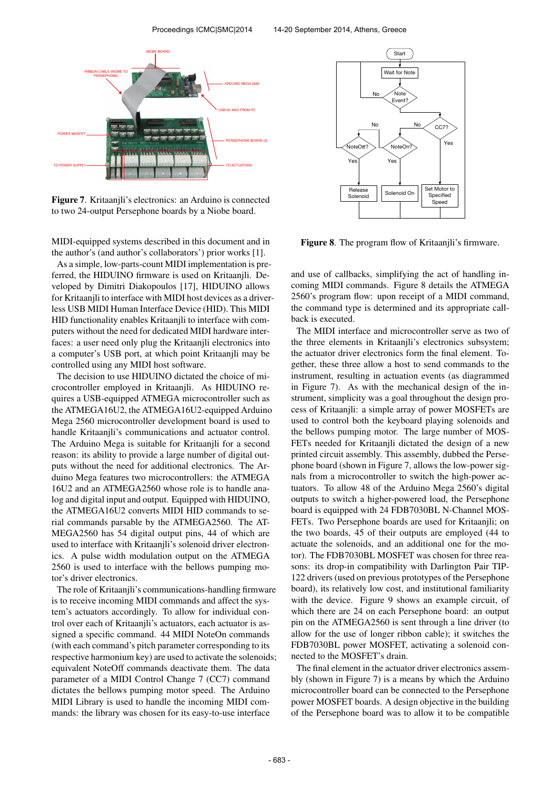

Figure 7. Kritaanjli's electronics: an Arduino is connected to two 24-output Persephone boards by a Niobe board.

MIDI-equipped systems described in this document and in the author's (and author's collaborators') prior works [1].

As a simple, low-parts-count MIDI implementation is preferred, the HIDUINO firmware is used on Kritaanjli. Developed by Dimitri Diakopoulos [17], HIDUINO allows for Kritaanjli to interface with MIDI host devices as a driverless USB MIDI Human Interface Device (HID). This MIDI HID functionality enables Kritaanjli to interface with computers without the need for dedicated MIDI hardware interfaces: a user need only plug the Kritaanjli electronics into a computer's USB port, at which point Kritaanjli may be controlled using any MIDI host software.

The decision to use HIDUINO dictated the choice of microcontroller employed in Kritaanjli. As HIDUINO requires a USB-equipped ATMEGA microcontroller such as the ATMEGA16U2, the ATMEGA16U2-equipped Arduino Mega 2560 microcontroller development board is used to handle Kritaanjli's communications and actuator control. The Arduino Mega is suitable for Kritaanjli for a second reason: its ability to provide a large number of digital outputs without the need for additional electronics. The Arduino Mega features two microcontrollers: the ATMEGA 16U2 and an ATMEGA2560 whose role is to handle analog and digital input and output. Equipped with HIDUINO, the ATMEGA16U2 converts MIDI HID commands to serial commands parsable by the ATMEGA2560. The AT-MEGA2560 has 54 digital output pins, 44 of which are used to interface with Kritaanjli's solenoid driver electronics. A pulse width modulation output on the ATMEGA 2560 is used to interface with the bellows pumping motor's driver electronics.

The role of Kritaanjli's communications-handling firmware is to receive incoming MIDI commands and affect the system's actuators accordingly. To allow for individual control over each of Kritaanjli's actuators, each actuator is assigned a specific command. 44 MIDI NoteOn commands (with each command's pitch parameter corresponding to its respective harmonium key) are used to activate the solenoids; equivalent NoteOff commands deactivate them. The data parameter of a MIDI Control Change 7 (CC7) command dictates the bellows pumping motor speed. The Arduino MIDI Library is used to handle the incoming MIDI commands: the library was chosen for its easy-to-use interface



Figure 8. The program flow of Kritaanili's firmware.

and use of callbacks, simplifying the act of handling incoming MIDI commands. Figure 8 details the ATMEGA 2560's program flow: upon receipt of a MIDI command, the command type is determined and its appropriate callback is executed.

The MIDI interface and microcontroller serve as two of the three elements in Kritaanjli's electronics subsystem; the actuator driver electronics form the final element. Together, these three allow a host to send commands to the instrument, resulting in actuation events (as diagrammed in Figure 7). As with the mechanical design of the instrument, simplicity was a goal throughout the design process of Kritaanjli: a simple array of power MOSFETs are used to control both the keyboard playing solenoids and the bellows pumping motor. The large number of MOS-FETs needed for Kritaanjli dictated the design of a new printed circuit assembly. This assembly, dubbed the Persephone board (shown in Figure 7, allows the low-power signals from a microcontroller to switch the high-power actuators. To allow 48 of the Arduino Mega 2560's digital outputs to switch a higher-powered load, the Persephone board is equipped with 24 FDB7030BL N-Channel MOS-FETs. Two Persephone boards are used for Kritaanjli; on the two boards, 45 of their outputs are employed (44 to actuate the solenoids, and an additional one for the motor). The FDB7030BL MOSFET was chosen for three reasons: its drop-in compatibility with Darlington Pair TIP-122 drivers (used on previous prototypes of the Persephone board), its relatively low cost, and institutional familiarity with the device. Figure 9 shows an example circuit, of which there are 24 on each Persephone board: an output pin on the ATMEGA2560 is sent through a line driver (to allow for the use of longer ribbon cable); it switches the FDB7030BL power MOSFET, activating a solenoid connected to the MOSFET's drain.

The final element in the actuator driver electronics assembly (shown in Figure 7) is a means by which the Arduino microcontroller board can be connected to the Persephone power MOSFET boards. A design objective in the building of the Persephone board was to allow it to be compatible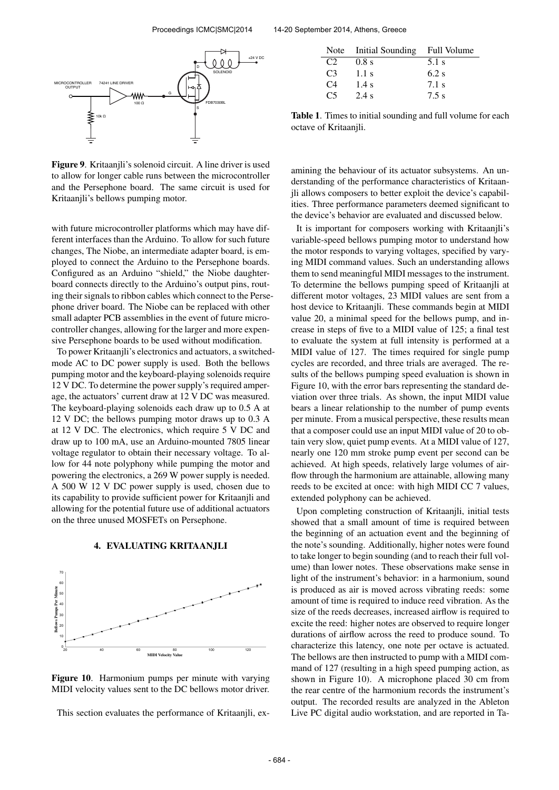

Figure 9. Kritaanjli's solenoid circuit. A line driver is used to allow for longer cable runs between the microcontroller and the Persephone board. The same circuit is used for Kritaanjli's bellows pumping motor.

with future microcontroller platforms which may have different interfaces than the Arduino. To allow for such future changes, The Niobe, an intermediate adapter board, is employed to connect the Arduino to the Persephone boards. Configured as an Arduino "shield," the Niobe daughterboard connects directly to the Arduino's output pins, routing their signals to ribbon cables which connect to the Persephone driver board. The Niobe can be replaced with other small adapter PCB assemblies in the event of future microcontroller changes, allowing for the larger and more expensive Persephone boards to be used without modification.

To power Kritaanjli's electronics and actuators, a switchedmode AC to DC power supply is used. Both the bellows pumping motor and the keyboard-playing solenoids require 12 V DC. To determine the power supply's required amperage, the actuators' current draw at 12 V DC was measured. The keyboard-playing solenoids each draw up to 0.5 A at 12 V DC; the bellows pumping motor draws up to 0.3 A at 12 V DC. The electronics, which require 5 V DC and draw up to 100 mA, use an Arduino-mounted 7805 linear voltage regulator to obtain their necessary voltage. To allow for 44 note polyphony while pumping the motor and powering the electronics, a 269 W power supply is needed. A 500 W 12 V DC power supply is used, chosen due to its capability to provide sufficient power for Kritaanjli and allowing for the potential future use of additional actuators on the three unused MOSFETs on Persephone.

#### 4. EVALUATING KRITAANJLI





This section evaluates the performance of Kritaanjli, ex-

|                | Note Initial Sounding Full Volume |         |
|----------------|-----------------------------------|---------|
| C2             | 0.8s                              | 5.1 s   |
| C <sub>3</sub> | $1.1$ s                           | $6.2$ s |
| C <sub>4</sub> | 1.4s                              | $7.1$ s |
| ٢5             | $2.4$ s                           | $7.5$ s |

Table 1. Times to initial sounding and full volume for each octave of Kritaanjli.

amining the behaviour of its actuator subsystems. An understanding of the performance characteristics of Kritaanjli allows composers to better exploit the device's capabilities. Three performance parameters deemed significant to the device's behavior are evaluated and discussed below.

It is important for composers working with Kritaanjli's variable-speed bellows pumping motor to understand how the motor responds to varying voltages, specified by varying MIDI command values. Such an understanding allows them to send meaningful MIDI messages to the instrument. To determine the bellows pumping speed of Kritaanjli at different motor voltages, 23 MIDI values are sent from a host device to Kritaanjli. These commands begin at MIDI value 20, a minimal speed for the bellows pump, and increase in steps of five to a MIDI value of 125; a final test to evaluate the system at full intensity is performed at a MIDI value of 127. The times required for single pump cycles are recorded, and three trials are averaged. The results of the bellows pumping speed evaluation is shown in Figure 10, with the error bars representing the standard deviation over three trials. As shown, the input MIDI value bears a linear relationship to the number of pump events per minute. From a musical perspective, these results mean that a composer could use an input MIDI value of 20 to obtain very slow, quiet pump events. At a MIDI value of 127, nearly one 120 mm stroke pump event per second can be achieved. At high speeds, relatively large volumes of airflow through the harmonium are attainable, allowing many reeds to be excited at once: with high MIDI CC 7 values, extended polyphony can be achieved.

Upon completing construction of Kritaanjli, initial tests showed that a small amount of time is required between the beginning of an actuation event and the beginning of the note's sounding. Additionally, higher notes were found to take longer to begin sounding (and to reach their full volume) than lower notes. These observations make sense in light of the instrument's behavior: in a harmonium, sound is produced as air is moved across vibrating reeds: some amount of time is required to induce reed vibration. As the size of the reeds decreases, increased airflow is required to excite the reed: higher notes are observed to require longer durations of airflow across the reed to produce sound. To characterize this latency, one note per octave is actuated. The bellows are then instructed to pump with a MIDI command of 127 (resulting in a high speed pumping action, as shown in Figure 10). A microphone placed 30 cm from the rear centre of the harmonium records the instrument's output. The recorded results are analyzed in the Ableton Live PC digital audio workstation, and are reported in Ta